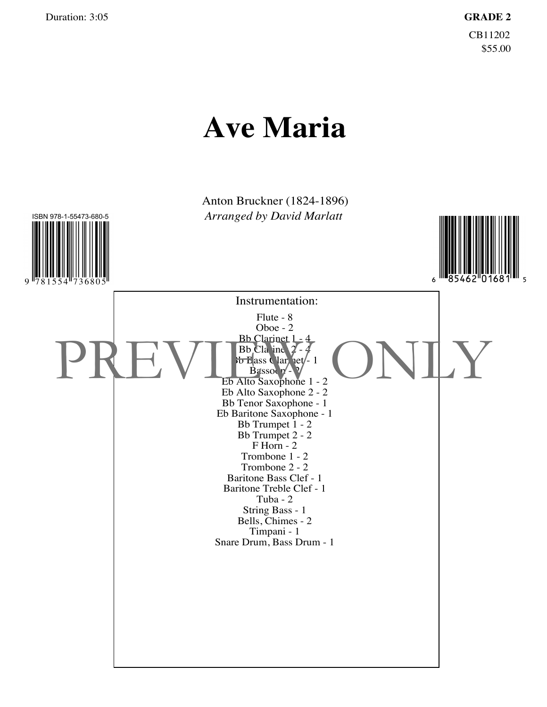## **Ave Maria**

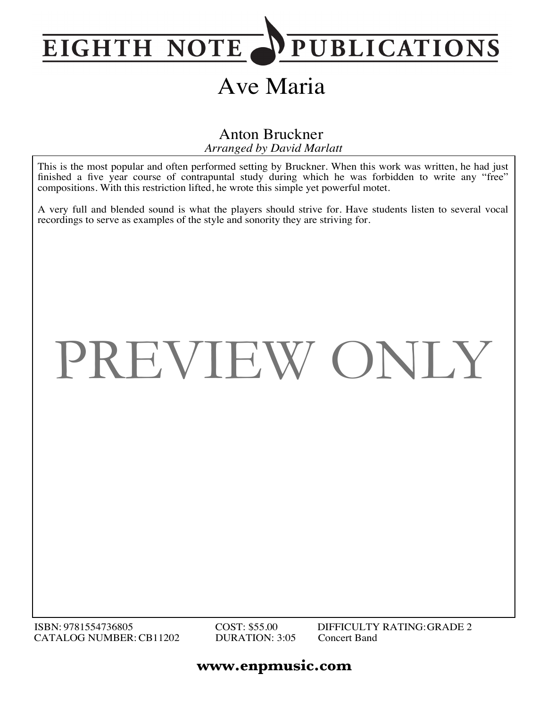

## Ave Maria

#### *Arranged by David Marlatt* Anton Bruckner

This is the most popular and often performed setting by Bruckner. When this work was written, he had just finished a five year course of contrapuntal study during which he was forbidden to write any "free" compositions. With this restriction lifted, he wrote this simple yet powerful motet.

A very full and blended sound is what the players should strive for. Have students listen to several vocal recordings to serve as examples of the style and sonority they are striving for.

# PREVIEW ONLY

ISBN: 9781554736805 CATALOG NUMBER:CB11202 COST: \$55.00 DURATION: 3:05 DIFFICULTY RATING:GRADE 2 Concert Band

### **www.enpmusic.com**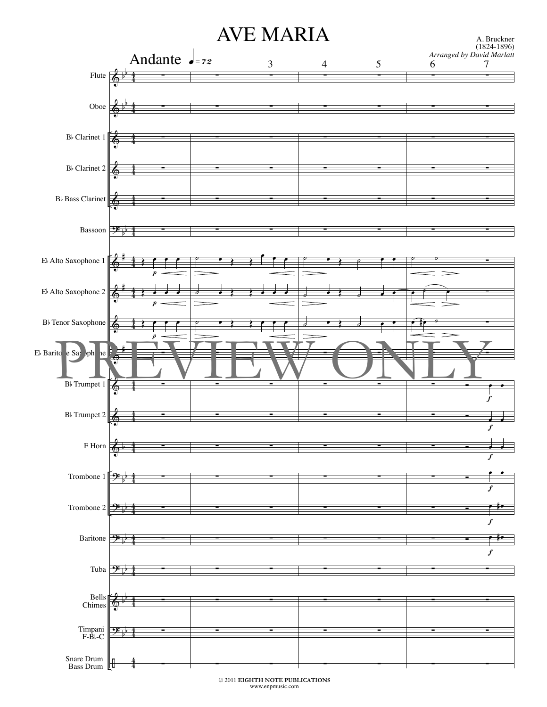### AVE MARIA



© 2011 **EIGHTH NOTE PUBLICATIONS** www.enpmusic.com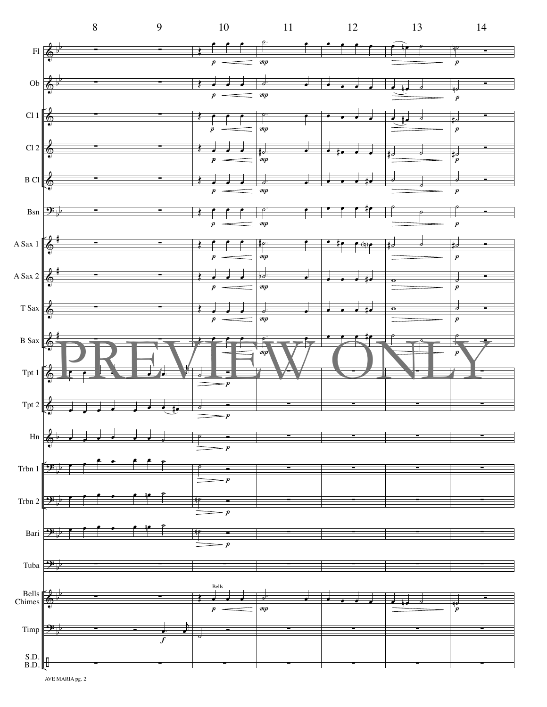

AVE MARIA pg. 2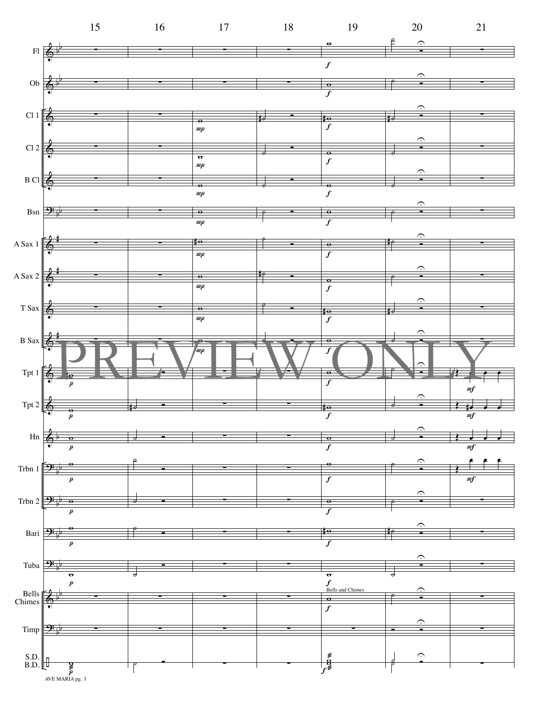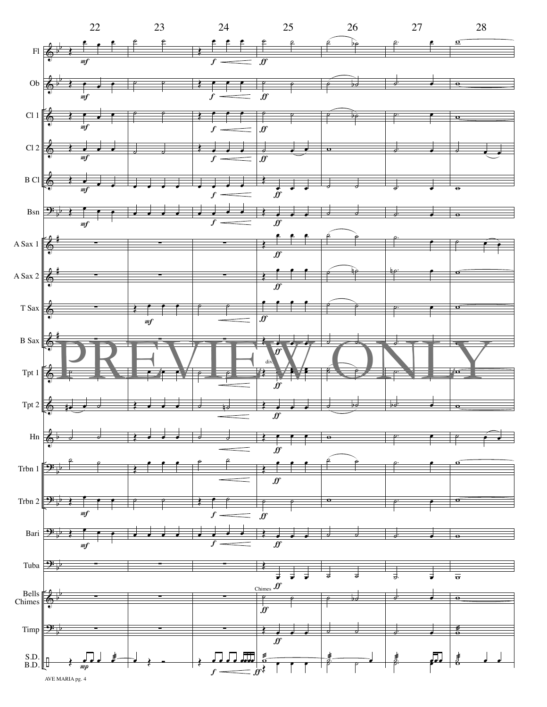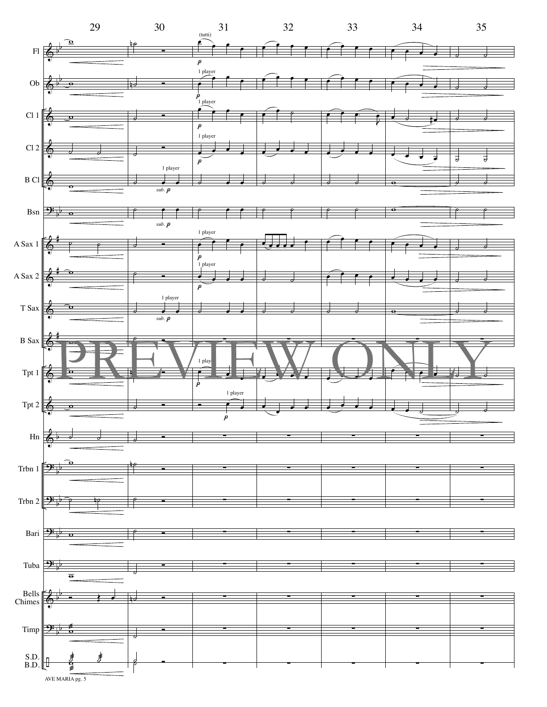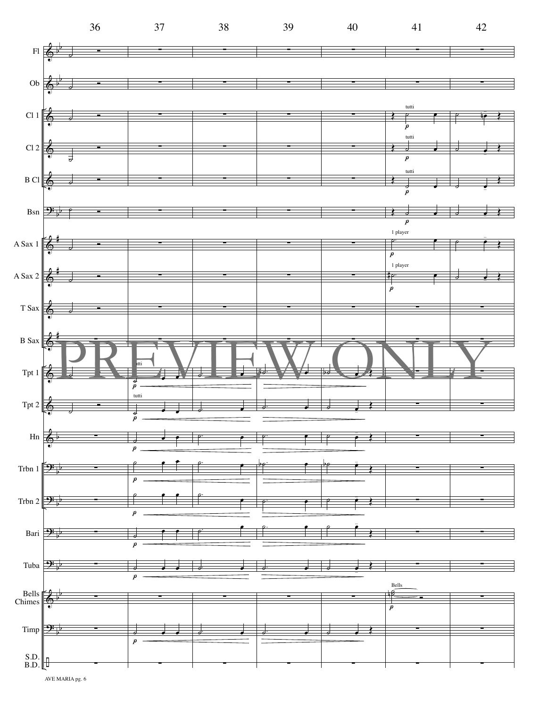